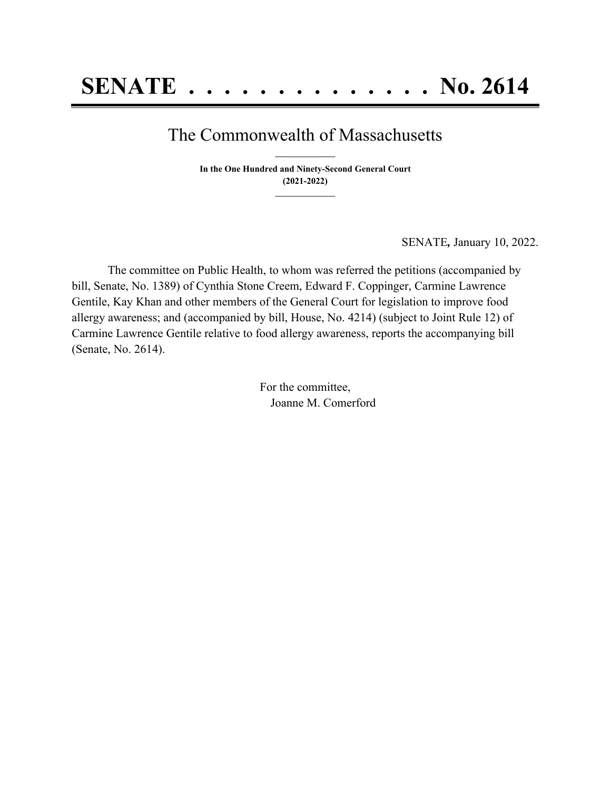## The Commonwealth of Massachusetts **\_\_\_\_\_\_\_\_\_\_\_\_\_\_\_**

**In the One Hundred and Ninety-Second General Court (2021-2022) \_\_\_\_\_\_\_\_\_\_\_\_\_\_\_**

SENATE*,* January 10, 2022.

The committee on Public Health, to whom was referred the petitions (accompanied by bill, Senate, No. 1389) of Cynthia Stone Creem, Edward F. Coppinger, Carmine Lawrence Gentile, Kay Khan and other members of the General Court for legislation to improve food allergy awareness; and (accompanied by bill, House, No. 4214) (subject to Joint Rule 12) of Carmine Lawrence Gentile relative to food allergy awareness, reports the accompanying bill (Senate, No. 2614).

> For the committee, Joanne M. Comerford